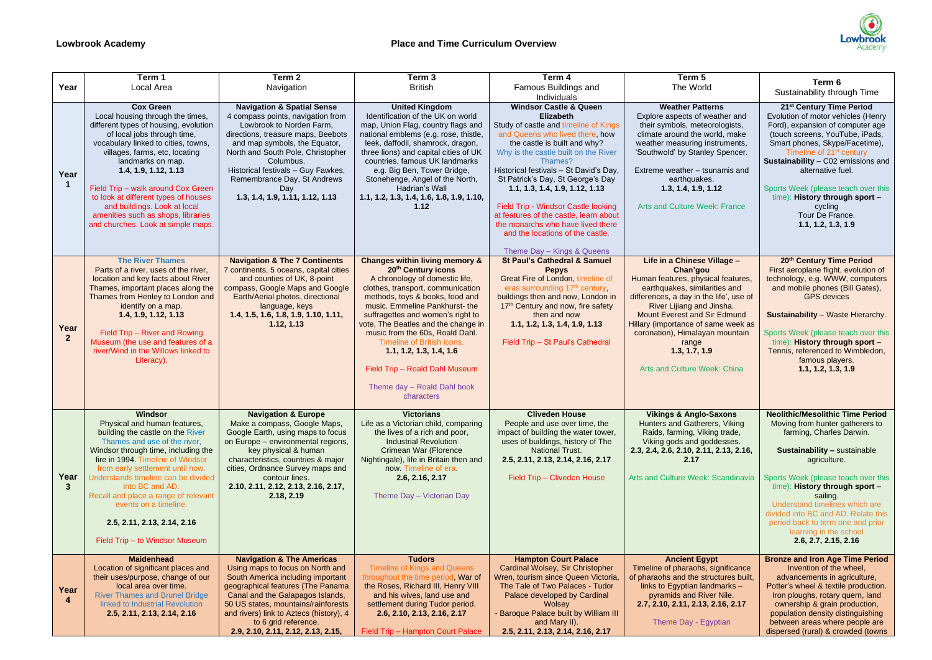|                      | Term 1                                                                                                                                                                                                                                                                                                                                                                                                                        | Term <sub>2</sub>                                                                                                                                                                                                                                                                                                                      | Term <sub>3</sub>                                                                                                                                                                                                                                                                                                                                                                                                                                                              | Term 4                                                                                                                                                                                                                                                                                                                                                                                                                                                                            | Term 5                                                                                                                                                                                                                                                                                                                                                            |                                                                                                                                                                                                                                                                                                                                                                                                             |
|----------------------|-------------------------------------------------------------------------------------------------------------------------------------------------------------------------------------------------------------------------------------------------------------------------------------------------------------------------------------------------------------------------------------------------------------------------------|----------------------------------------------------------------------------------------------------------------------------------------------------------------------------------------------------------------------------------------------------------------------------------------------------------------------------------------|--------------------------------------------------------------------------------------------------------------------------------------------------------------------------------------------------------------------------------------------------------------------------------------------------------------------------------------------------------------------------------------------------------------------------------------------------------------------------------|-----------------------------------------------------------------------------------------------------------------------------------------------------------------------------------------------------------------------------------------------------------------------------------------------------------------------------------------------------------------------------------------------------------------------------------------------------------------------------------|-------------------------------------------------------------------------------------------------------------------------------------------------------------------------------------------------------------------------------------------------------------------------------------------------------------------------------------------------------------------|-------------------------------------------------------------------------------------------------------------------------------------------------------------------------------------------------------------------------------------------------------------------------------------------------------------------------------------------------------------------------------------------------------------|
| Year                 | Local Area                                                                                                                                                                                                                                                                                                                                                                                                                    | Navigation                                                                                                                                                                                                                                                                                                                             | <b>British</b>                                                                                                                                                                                                                                                                                                                                                                                                                                                                 | <b>Famous Buildings and</b>                                                                                                                                                                                                                                                                                                                                                                                                                                                       | The World                                                                                                                                                                                                                                                                                                                                                         | Term 6<br>Sustainability through Time                                                                                                                                                                                                                                                                                                                                                                       |
|                      | <b>Cox Green</b>                                                                                                                                                                                                                                                                                                                                                                                                              | <b>Navigation &amp; Spatial Sense</b>                                                                                                                                                                                                                                                                                                  | <b>United Kingdom</b>                                                                                                                                                                                                                                                                                                                                                                                                                                                          | Individuals<br><b>Windsor Castle &amp; Queen</b>                                                                                                                                                                                                                                                                                                                                                                                                                                  | <b>Weather Patterns</b>                                                                                                                                                                                                                                                                                                                                           | 21 <sup>st</sup> Century Time Period                                                                                                                                                                                                                                                                                                                                                                        |
| Year                 | Local housing through the times,<br>different types of housing, evolution<br>of local jobs through time,<br>vocabulary linked to cities, towns,<br>villages, farms, etc, locating<br>landmarks on map.<br>1.4, 1.9, 1.12, 1.13<br>Field Trip - walk around Cox Green<br>to look at different types of houses<br>and buildings. Look at local<br>amenities such as shops, libraries<br>and churches. Look at simple maps.      | 4 compass points, navigation from<br>Lowbrook to Norden Farm,<br>directions, treasure maps, Beebots<br>and map symbols, the Equator,<br>North and South Pole, Christopher<br>Columbus.<br>Historical festivals - Guy Fawkes,<br>Remembrance Day, St Andrews<br>Day<br>1.3, 1.4, 1.9, 1.11, 1.12, 1.13                                  | Identification of the UK on world<br>map, Union Flag, country flags and<br>national emblems (e.g. rose, thistle,<br>leek, daffodil, shamrock, dragon,<br>three lions) and capital cities of UK<br>countries, famous UK landmarks<br>e.g. Big Ben, Tower Bridge,<br>Stonehenge, Angel of the North,<br>Hadrian's Wall<br>1.1, 1.2, 1.3, 1.4, 1.6, 1.8, 1.9, 1.10,<br>1.12                                                                                                       | Elizabeth<br>Study of castle and timeline of Kings<br>and Queens who lived there, how<br>the castle is built and why?<br>Why is the castle built on the River<br>Thames?<br>Historical festivals - St David's Day,<br>St Patrick's Day, St George's Day<br>1.1, 1.3, 1.4, 1.9, 1.12, 1.13<br>Field Trip - Windsor Castle looking<br>at features of the castle, learn about<br>the monarchs who have lived there<br>and the locations of the castle.<br>Theme Day - Kings & Queens | Explore aspects of weather and<br>their symbols, meteorologists,<br>climate around the world, make<br>weather measuring instruments,<br>'Southwold' by Stanley Spencer.<br>Extreme weather - tsunamis and<br>earthquakes.<br>1.3, 1.4, 1.9, 1.12<br><b>Arts and Culture Week: France</b>                                                                          | Evolution of motor vehicles (Henry<br>Ford), expansion of computer age<br>(touch screens, YouTube, iPads,<br>Smart phones, Skype/Facetime),<br>Timeline of 21 <sup>st</sup> century<br>Sustainability - C02 emissions and<br>alternative fuel.<br>Sports Week (please teach over this<br>time): History through sport -<br>cycling<br>Tour De France.<br>1.1, 1.2, 1.3, 1.9                                 |
| Year<br>$\mathbf{2}$ | <b>The River Thames</b><br>Parts of a river, uses of the river,<br>location and key facts about River<br>Thames, important places along the<br>Thames from Henley to London and<br>identify on a map.<br>1.4, 1.9, 1.12, 1.13<br>Field Trip - River and Rowing<br>Museum (the use and features of a<br>river/Wind in the Willows linked to<br>Literacy).                                                                      | <b>Navigation &amp; The 7 Continents</b><br>7 continents, 5 oceans, capital cities<br>and counties of UK, 8-point<br>compass, Google Maps and Google<br>Earth/Aerial photos, directional<br>language, keys<br>1.4, 1.5, 1.6, 1.8, 1.9, 1.10, 1.11,<br>1.12, 1.13                                                                       | <b>Changes within living memory &amp;</b><br>20 <sup>th</sup> Century icons<br>A chronology of domestic life,<br>clothes, transport, communication<br>methods, toys & books, food and<br>music. Emmeline Pankhurst- the<br>suffragettes and women's right to<br>vote, The Beatles and the change in<br>music from the 60s, Roald Dahl.<br>Timeline of British icons.<br>1.1, 1.2, 1.3, 1.4, 1.6<br>Field Trip - Roald Dahl Museum<br>Theme day - Roald Dahl book<br>characters | <b>St Paul's Cathedral &amp; Samuel</b><br><b>Pepys</b><br>Great Fire of London, timeline of<br>eras surrounding 17 <sup>th</sup> century,<br>buildings then and now, London in<br>17 <sup>th</sup> Century and now, fire safety<br>then and now<br>1.1, 1.2, 1.3, 1.4, 1.9, 1.13<br>Field Trip - St Paul's Cathedral                                                                                                                                                             | Life in a Chinese Village -<br>Chan'gou<br>Human features, physical features,<br>earthquakes, similarities and<br>differences, a day in the life', use of<br>River Lijiang and Jinsha.<br><b>Mount Everest and Sir Edmund</b><br>Hillary (importance of same week as<br>coronation), Himalayan mountain<br>range<br>1.3, 1.7, 1.9<br>Arts and Culture Week: China | 20th Century Time Period<br>First aeroplane flight, evolution of<br>technology, e.g. WWW, computers<br>and mobile phones (Bill Gates),<br><b>GPS</b> devices<br><b>Sustainability</b> - Waste Hierarchy.<br>Sports Week (please teach over this<br>time): History through sport -<br>Tennis, referenced to Wimbledon,<br>famous players.<br>1.1, 1.2, 1.3, 1.9                                              |
| Year<br>3            | <b>Windsor</b><br>Physical and human features,<br>building the castle on the River<br>Thames and use of the river,<br>Windsor through time, including the<br>fire in 1994 Timeline of Windsor<br>from early settlement until now.<br>Understands timeline can be divided<br>into BC and AD.<br>Recall and place a range of relevant<br>events on a timeline.<br>2.5, 2.11, 2.13, 2.14, 2.16<br>Field Trip - to Windsor Museum | <b>Navigation &amp; Europe</b><br>Make a compass, Google Maps,<br>Google Earth, using maps to focus<br>on Europe - environmental regions,<br>key physical & human<br>characteristics, countries & major<br>cities, Ordnance Survey maps and<br>contour lines.<br>2.10, 2.11, 2.12, 2.13, 2.16, 2.17,<br>2.18, 2.19                     | <b>Victorians</b><br>Life as a Victorian child, comparing<br>the lives of a rich and poor,<br><b>Industrial Revolution</b><br>Crimean War (Florence<br>Nightingale), life in Britain then and<br>now Timeline of era.<br>2.6, 2.16, 2.17<br>Theme Day - Victorian Day                                                                                                                                                                                                          | <b>Cliveden House</b><br>People and use over time, the<br>impact of building the water tower,<br>uses of buildings, history of The<br><b>National Trust.</b><br>2.5, 2.11, 2.13, 2.14, 2.16, 2.17<br>Field Trip - Cliveden House                                                                                                                                                                                                                                                  | <b>Vikings &amp; Anglo-Saxons</b><br>Hunters and Gatherers, Viking<br>Raids, farming, Viking trade,<br>Viking gods and goddesses.<br>2.3, 2.4, 2.6, 2.10, 2.11, 2.13, 2.16,<br>2.17<br>Arts and Culture Week: Scandinavia                                                                                                                                         | <b>Neolithic/Mesolithic Time Period</b><br>Moving from hunter gatherers to<br>farming, Charles Darwin.<br>Sustainability - sustainable<br>agriculture.<br>Sports Week (please teach over this<br>time): History through sport -<br>sailing.<br>Understand timelines which are<br>divided into BC and AD. Relate this<br>period back to term one and prior<br>learning in the school<br>2.6, 2.7, 2.15, 2.16 |
| Year                 | <b>Maidenhead</b><br>Location of significant places and<br>their uses/purpose, change of our<br>local area over time.<br><b>River Thames and Brunel Bridge</b><br>linked to Industrial Revolution<br>2.5, 2.11, 2.13, 2.14, 2.16                                                                                                                                                                                              | <b>Navigation &amp; The Americas</b><br>Using maps to focus on North and<br>South America including important<br>geographical features (The Panama<br>Canal and the Galapagos Islands,<br>50 US states, mountains/rainforests<br>and rivers) link to Aztecs (history), 4<br>to 6 grid reference.<br>2.9, 2.10, 2.11, 2.12, 2.13, 2.15, | <b>Tudors</b><br>Timeline of Kings and Queens<br>throughout the time period, War of<br>the Roses, Richard III, Henry VIII<br>and his wives, land use and<br>settlement during Tudor period.<br>2.6, 2.10, 2.13, 2.16, 2.17<br>Field Trip - Hampton Court Palace                                                                                                                                                                                                                | <b>Hampton Court Palace</b><br><b>Cardinal Wolsey, Sir Christopher</b><br>Wren, tourism since Queen Victoria,<br>The Tale of Two Palaces - Tudor<br>Palace developed by Cardinal<br><b>Wolsey</b><br><b>Baroque Palace built by William III</b><br>and Mary II).<br>2.5, 2.11, 2.13, 2.14, 2.16, 2.17                                                                                                                                                                             | <b>Ancient Egypt</b><br>Timeline of pharaohs, significance<br>of pharaohs and the structures built,<br>links to Egyptian landmarks -<br>pyramids and River Nile.<br>2.7, 2.10, 2.11, 2.13, 2.16, 2.17<br>Theme Day - Egyptian                                                                                                                                     | <b>Bronze and Iron Age Time Period</b><br>Invention of the wheel,<br>advancements in agriculture,<br>Potter's wheel & textile production.<br>Iron ploughs, rotary quern, land<br>ownership & grain production,<br>population density distinguishing<br>between areas where people are<br>dispersed (rural) & crowded (towns                                                                                 |

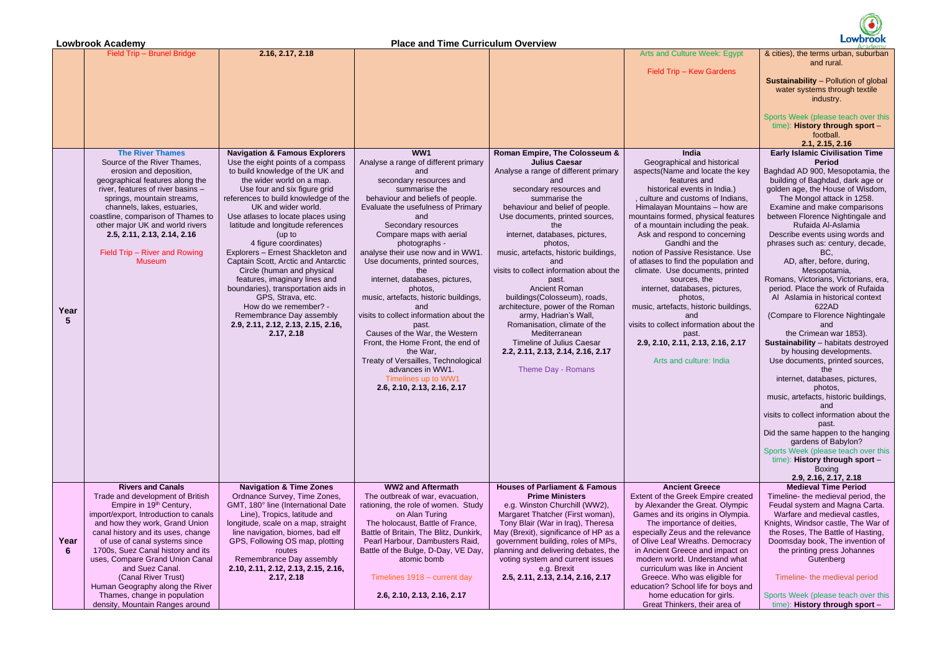|                                                                                                                                                                                                                                                                                                                                                                                                                                                                                                                                                                                                                                                                       | Lowbrook                                                                                                                                                                                                                                                                                                                                                                                                                                                                                                                                                                                                                                                                                                                                                                                                                           |
|-----------------------------------------------------------------------------------------------------------------------------------------------------------------------------------------------------------------------------------------------------------------------------------------------------------------------------------------------------------------------------------------------------------------------------------------------------------------------------------------------------------------------------------------------------------------------------------------------------------------------------------------------------------------------|------------------------------------------------------------------------------------------------------------------------------------------------------------------------------------------------------------------------------------------------------------------------------------------------------------------------------------------------------------------------------------------------------------------------------------------------------------------------------------------------------------------------------------------------------------------------------------------------------------------------------------------------------------------------------------------------------------------------------------------------------------------------------------------------------------------------------------|
| Arts and Culture Week: Egypt                                                                                                                                                                                                                                                                                                                                                                                                                                                                                                                                                                                                                                          | & cities), the terms urban, suburban                                                                                                                                                                                                                                                                                                                                                                                                                                                                                                                                                                                                                                                                                                                                                                                               |
|                                                                                                                                                                                                                                                                                                                                                                                                                                                                                                                                                                                                                                                                       | and rural.                                                                                                                                                                                                                                                                                                                                                                                                                                                                                                                                                                                                                                                                                                                                                                                                                         |
| Field Trip - Kew Gardens                                                                                                                                                                                                                                                                                                                                                                                                                                                                                                                                                                                                                                              | <b>Sustainability - Pollution of global</b><br>water systems through textile<br>industry.                                                                                                                                                                                                                                                                                                                                                                                                                                                                                                                                                                                                                                                                                                                                          |
|                                                                                                                                                                                                                                                                                                                                                                                                                                                                                                                                                                                                                                                                       | Sports Week (please teach over this<br>time): History through sport -<br>football.<br>2.1, 2.15, 2.16                                                                                                                                                                                                                                                                                                                                                                                                                                                                                                                                                                                                                                                                                                                              |
| India                                                                                                                                                                                                                                                                                                                                                                                                                                                                                                                                                                                                                                                                 | <b>Early Islamic Civilisation Time</b>                                                                                                                                                                                                                                                                                                                                                                                                                                                                                                                                                                                                                                                                                                                                                                                             |
| Geographical and historical<br>aspects(Name and locate the key<br>features and<br>historical events in India.)<br>, culture and customs of Indians,<br>Himalayan Mountains - how are<br>mountains formed, physical features<br>of a mountain including the peak.<br>Ask and respond to concerning<br>Gandhi and the<br>notion of Passive Resistance. Use<br>of atlases to find the population and<br>climate. Use documents, printed<br>sources, the<br>internet, databases, pictures,<br>photos,<br>music, artefacts, historic buildings,<br>and<br>visits to collect information about the<br>past.<br>2.9, 2.10, 2.11, 2.13, 2.16, 2.17<br>Arts and culture: India | <b>Period</b><br>Baghdad AD 900, Mesopotamia, the<br>building of Baghdad, dark age or<br>golden age, the House of Wisdom,<br>The Mongol attack in 1258.<br>Examine and make comparisons<br>between Florence Nightingale and<br>Rufaida Al-Aslamia<br>Describe events using words and<br>phrases such as: century, decade,<br>BC,<br>AD, after, before, during,<br>Mesopotamia,<br>Romans, Victorians, Victorians, era,<br>period. Place the work of Rufaida<br>Al Aslamia in historical context<br>622AD<br>(Compare to Florence Nightingale<br>and<br>the Crimean war 1853).<br>Sustainability - habitats destroyed<br>by housing developments.<br>Use documents, printed sources,<br>the<br>internet, databases, pictures,<br>photos,<br>music, artefacts, historic buildings,<br>and<br>visits to collect information about the |
|                                                                                                                                                                                                                                                                                                                                                                                                                                                                                                                                                                                                                                                                       | past.<br>Did the same happen to the hanging<br>gardens of Babylon?                                                                                                                                                                                                                                                                                                                                                                                                                                                                                                                                                                                                                                                                                                                                                                 |
|                                                                                                                                                                                                                                                                                                                                                                                                                                                                                                                                                                                                                                                                       | Sports Week (please teach over this<br>time): History through sport -<br>Boxing                                                                                                                                                                                                                                                                                                                                                                                                                                                                                                                                                                                                                                                                                                                                                    |
|                                                                                                                                                                                                                                                                                                                                                                                                                                                                                                                                                                                                                                                                       | 2.9, 2.16, 2.17, 2.18                                                                                                                                                                                                                                                                                                                                                                                                                                                                                                                                                                                                                                                                                                                                                                                                              |
| <b>Ancient Greece</b><br><b>Extent of the Greek Empire created</b>                                                                                                                                                                                                                                                                                                                                                                                                                                                                                                                                                                                                    | <b>Medieval Time Period</b><br>Timeline- the medieval period, the                                                                                                                                                                                                                                                                                                                                                                                                                                                                                                                                                                                                                                                                                                                                                                  |
| by Alexander the Great. Olympic<br>Games and its origins in Olympia.                                                                                                                                                                                                                                                                                                                                                                                                                                                                                                                                                                                                  | Feudal system and Magna Carta.<br>Warfare and medieval castles,                                                                                                                                                                                                                                                                                                                                                                                                                                                                                                                                                                                                                                                                                                                                                                    |
| The importance of deities,                                                                                                                                                                                                                                                                                                                                                                                                                                                                                                                                                                                                                                            | Knights, Windsor castle, The War of                                                                                                                                                                                                                                                                                                                                                                                                                                                                                                                                                                                                                                                                                                                                                                                                |
| especially Zeus and the relevance                                                                                                                                                                                                                                                                                                                                                                                                                                                                                                                                                                                                                                     | the Roses, The Battle of Hasting,                                                                                                                                                                                                                                                                                                                                                                                                                                                                                                                                                                                                                                                                                                                                                                                                  |
| of Olive Leaf Wreaths. Democracy<br>in Ancient Greece and impact on                                                                                                                                                                                                                                                                                                                                                                                                                                                                                                                                                                                                   | Doomsday book, The invention of<br>the printing press Johannes                                                                                                                                                                                                                                                                                                                                                                                                                                                                                                                                                                                                                                                                                                                                                                     |
| modern world. Understand what<br>curriculum was like in Ancient                                                                                                                                                                                                                                                                                                                                                                                                                                                                                                                                                                                                       | Gutenberg                                                                                                                                                                                                                                                                                                                                                                                                                                                                                                                                                                                                                                                                                                                                                                                                                          |
| Greece. Who was eligible for<br>education? School life for boys and                                                                                                                                                                                                                                                                                                                                                                                                                                                                                                                                                                                                   | Timeline- the medieval period                                                                                                                                                                                                                                                                                                                                                                                                                                                                                                                                                                                                                                                                                                                                                                                                      |
| home education for girls.<br>Great Thinkers, their area of                                                                                                                                                                                                                                                                                                                                                                                                                                                                                                                                                                                                            | Sports Week (please teach over this<br>time): History through sport -                                                                                                                                                                                                                                                                                                                                                                                                                                                                                                                                                                                                                                                                                                                                                              |

Human Geography along the River Thames, change in population density, Mountain Ranges around

**Lowbrook Academy Place and Time Curriculum Overview** Field Trip – Brunel Bridge **2.16, 2.17, 2.18 Arts and Culture Week: Egyptian Arts and Culture Week: Egyptian Arts and Culture Week: Egyptian Arts and Culture Week: Egyptian Arts and Culture Week: Egyptian Arts and Cultur**  $Field$  Trip – Kew **Year 5 The River Thames**  Source of the River Thames, erosion and deposition, geographical features along the river, features of river basins – springs, mountain streams, channels, lakes, estuaries, coastline, comparison of Thames to other major UK and world rivers **2.5, 2.11, 2.13, 2.14, 2.16** Field Trip – River and Rowing Museum **Navigation & Famous Explorers** Use the eight points of a compass to build knowledge of the UK and the wider world on a map. Use four and six figure grid references to build knowledge of the UK and wider world. Use atlases to locate places using latitude and longitude references (up to 4 figure coordinates) Explorers – Ernest Shackleton and Captain Scott, Arctic and Antarctic Circle (human and physical features, imaginary lines and boundaries), transportation aids in GPS, Strava, etc. How do we remember? - Remembrance Day assembly **2.9, 2.11, 2.12, 2.13, 2.15, 2.16, 2.17, 2.18 WW1** Analyse a range of different primary and secondary resources and summarise the behaviour and beliefs of people. Evaluate the usefulness of Primary and Secondary resources Compare maps with aerial photographs analyse their use now and in WW1. Use documents, printed sources, the internet, databases, pictures, photos, music, artefacts, historic buildings, and visits to collect information about the past. Causes of the War, the Western Front, the Home Front, the end of the War, Treaty of Versailles, Technological advances in WW1. Timelines up to WW1 **2.6, 2.10, 2.13, 2.16, 2.17 Roman Empire, The Colosseum & Julius Caesar** Analyse a range of different primary and secondary resources and summarise the behaviour and belief of people. Use documents, printed sources, the internet, databases, pictures, photos, music, artefacts, historic buildings, and visits to collect information about the past. Ancient Roman buildings(Colosseum), roads, architecture, power of the Roman army, Hadrian's Wall, Romanisation, climate of the Mediterranean Timeline of Julius Caesar **2.2, 2.11, 2.13, 2.14, 2.16, 2.17** Theme Day - Romans **India** Geographical and aspects(Name and k features a historical events , culture and custom Himalayan Mountair mountains formed, phy of a mountain includi Ask and respond to Gandhi and notion of Passive Rest of atlases to find the p climate. Use docum sources, the internet, databases photos, music, artefacts, histo and visits to collect informa past. **2.9, 2.10, 2.11, 2.13, 2.16, 2.17** Arts and cultur **Year 6 Rivers and Canals** Trade and development of British Empire in 19th Century, import/export, Introduction to canals and how they work, Grand Union canal history and its uses, change of use of canal systems since 1700s, Suez Canal history and its uses, Compare Grand Union Canal and Suez Canal. (Canal River Trust) **Navigation & Time Zones** Ordnance Survey, Time Zones, GMT, 180° line (International Date Line), Tropics, latitude and longitude, scale on a map, straight line navigation, biomes, bad elf GPS, Following OS map, plotting routes Remembrance Day assembly **2.10, 2.11, 2.12, 2.13, 2.15, 2.16, 2.17, 2.18 WW2 and Aftermath** The outbreak of war, evacuation, rationing, the role of women. Study on Alan Turing The holocaust, Battle of France, Battle of Britain, The Blitz, Dunkirk, Pearl Harbour, Dambusters Raid, Battle of the Bulge, D-Day, VE Day, atomic bomb Timelines 1918 – current day **Houses of Parliament & Famous Prime Ministers** e.g. Winston Churchill (WW2), Margaret Thatcher (First woman), Tony Blair (War in Iraq), Theresa May (Brexit), significance of HP as a government building, roles of MPs, planning and delivering debates, the voting system and current issues e.g. Brexit **2.5, 2.11, 2.13, 2.14, 2.16, 2.17 Ancient Gre** Extent of the Greek E by Alexander the Great Games and its origins The importance of especially Zeus and of Olive Leaf Wreaths in Ancient Greece and modern world. Unde curriculum was like Greece. Who was

**2.6, 2.10, 2.13, 2.16, 2.17**